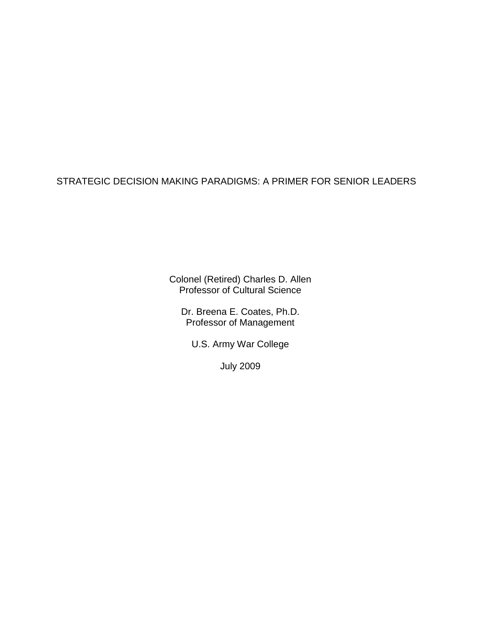STRATEGIC DECISION MAKING PARADIGMS: A PRIMER FOR SENIOR LEADERS

Colonel (Retired) Charles D. Allen Professor of Cultural Science

Dr. Breena E. Coates, Ph.D. Professor of Management

U.S. Army War College

July 2009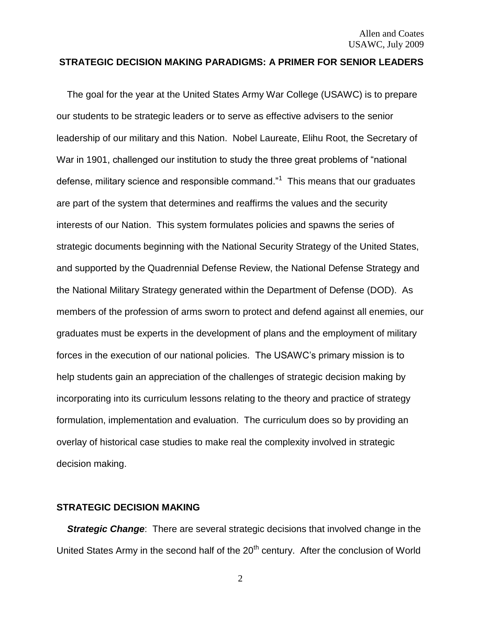## **STRATEGIC DECISION MAKING PARADIGMS: A PRIMER FOR SENIOR LEADERS**

 The goal for the year at the United States Army War College (USAWC) is to prepare our students to be strategic leaders or to serve as effective advisers to the senior leadership of our military and this Nation. Nobel Laureate, Elihu Root, the Secretary of War in 1901, challenged our institution to study the three great problems of "national defense, military science and responsible command."<sup>1</sup> This means that our graduates are part of the system that determines and reaffirms the values and the security interests of our Nation. This system formulates policies and spawns the series of strategic documents beginning with the National Security Strategy of the United States, and supported by the Quadrennial Defense Review, the National Defense Strategy and the National Military Strategy generated within the Department of Defense (DOD). As members of the profession of arms sworn to protect and defend against all enemies, our graduates must be experts in the development of plans and the employment of military forces in the execution of our national policies. The USAWC"s primary mission is to help students gain an appreciation of the challenges of strategic decision making by incorporating into its curriculum lessons relating to the theory and practice of strategy formulation, implementation and evaluation. The curriculum does so by providing an overlay of historical case studies to make real the complexity involved in strategic decision making.

## **STRATEGIC DECISION MAKING**

**Strategic Change:** There are several strategic decisions that involved change in the United States Army in the second half of the 20<sup>th</sup> century. After the conclusion of World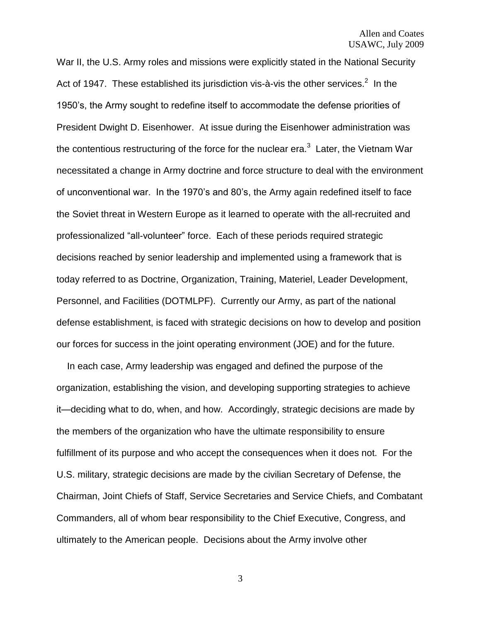War II, the U.S. Army roles and missions were explicitly stated in the National Security Act of 1947. These established its jurisdiction vis-à-vis the other services.<sup>2</sup> In the 1950"s, the Army sought to redefine itself to accommodate the defense priorities of President Dwight D. Eisenhower. At issue during the Eisenhower administration was the contentious restructuring of the force for the nuclear era.<sup>3</sup> Later, the Vietnam War necessitated a change in Army doctrine and force structure to deal with the environment of unconventional war. In the 1970"s and 80"s, the Army again redefined itself to face the Soviet threat in Western Europe as it learned to operate with the all-recruited and professionalized "all-volunteer" force. Each of these periods required strategic decisions reached by senior leadership and implemented using a framework that is today referred to as Doctrine, Organization, Training, Materiel, Leader Development, Personnel, and Facilities (DOTMLPF). Currently our Army, as part of the national defense establishment, is faced with strategic decisions on how to develop and position our forces for success in the joint operating environment (JOE) and for the future.

 In each case, Army leadership was engaged and defined the purpose of the organization, establishing the vision, and developing supporting strategies to achieve it—deciding what to do, when, and how. Accordingly, strategic decisions are made by the members of the organization who have the ultimate responsibility to ensure fulfillment of its purpose and who accept the consequences when it does not. For the U.S. military, strategic decisions are made by the civilian Secretary of Defense, the Chairman, Joint Chiefs of Staff, Service Secretaries and Service Chiefs, and Combatant Commanders, all of whom bear responsibility to the Chief Executive, Congress, and ultimately to the American people. Decisions about the Army involve other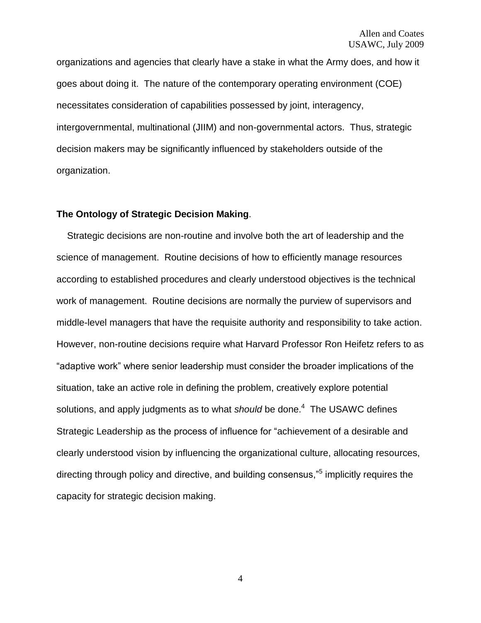organizations and agencies that clearly have a stake in what the Army does, and how it goes about doing it. The nature of the contemporary operating environment (COE) necessitates consideration of capabilities possessed by joint, interagency, intergovernmental, multinational (JIIM) and non-governmental actors. Thus, strategic decision makers may be significantly influenced by stakeholders outside of the organization.

### **The Ontology of Strategic Decision Making**.

 Strategic decisions are non-routine and involve both the art of leadership and the science of management. Routine decisions of how to efficiently manage resources according to established procedures and clearly understood objectives is the technical work of management. Routine decisions are normally the purview of supervisors and middle-level managers that have the requisite authority and responsibility to take action. However, non-routine decisions require what Harvard Professor Ron Heifetz refers to as "adaptive work" where senior leadership must consider the broader implications of the situation, take an active role in defining the problem, creatively explore potential solutions, and apply judgments as to what *should* be done.<sup>4</sup> The USAWC defines Strategic Leadership as the process of influence for "achievement of a desirable and clearly understood vision by influencing the organizational culture, allocating resources, directing through policy and directive, and building consensus,"<sup>5</sup> implicitly requires the capacity for strategic decision making.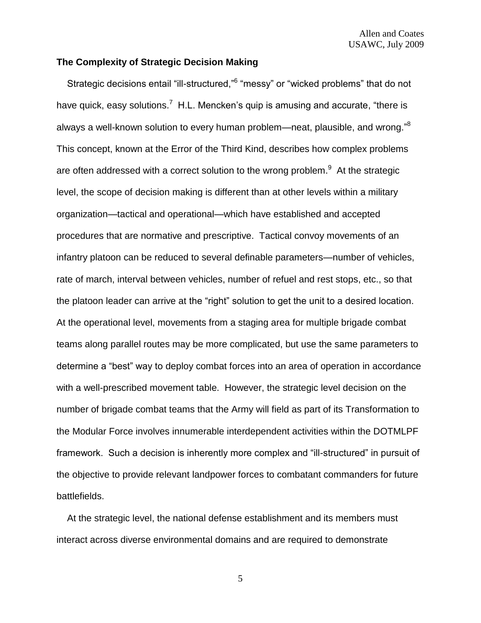## **The Complexity of Strategic Decision Making**

Strategic decisions entail "ill-structured,"<sup>6</sup> "messy" or "wicked problems" that do not have quick, easy solutions.<sup>7</sup> H.L. Mencken's quip is amusing and accurate, "there is always a well-known solution to every human problem—neat, plausible, and wrong."<sup>8</sup> This concept, known at the Error of the Third Kind, describes how complex problems are often addressed with a correct solution to the wrong problem. $9$  At the strategic level, the scope of decision making is different than at other levels within a military organization—tactical and operational—which have established and accepted procedures that are normative and prescriptive. Tactical convoy movements of an infantry platoon can be reduced to several definable parameters—number of vehicles, rate of march, interval between vehicles, number of refuel and rest stops, etc., so that the platoon leader can arrive at the "right" solution to get the unit to a desired location. At the operational level, movements from a staging area for multiple brigade combat teams along parallel routes may be more complicated, but use the same parameters to determine a "best" way to deploy combat forces into an area of operation in accordance with a well-prescribed movement table. However, the strategic level decision on the number of brigade combat teams that the Army will field as part of its Transformation to the Modular Force involves innumerable interdependent activities within the DOTMLPF framework. Such a decision is inherently more complex and "ill-structured" in pursuit of the objective to provide relevant landpower forces to combatant commanders for future battlefields.

 At the strategic level, the national defense establishment and its members must interact across diverse environmental domains and are required to demonstrate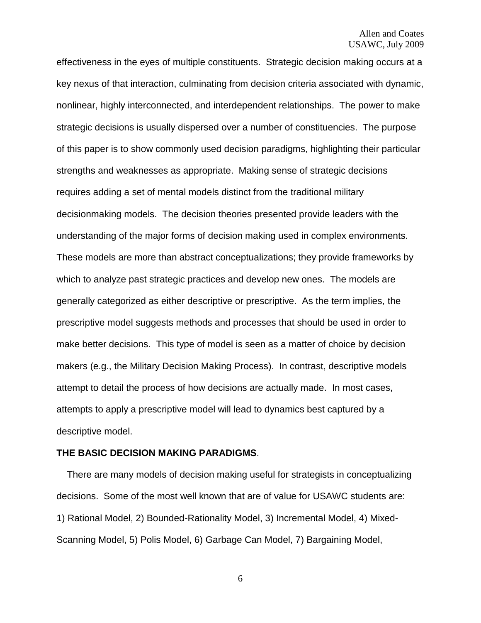effectiveness in the eyes of multiple constituents. Strategic decision making occurs at a key nexus of that interaction, culminating from decision criteria associated with dynamic, nonlinear, highly interconnected, and interdependent relationships. The power to make strategic decisions is usually dispersed over a number of constituencies. The purpose of this paper is to show commonly used decision paradigms, highlighting their particular strengths and weaknesses as appropriate. Making sense of strategic decisions requires adding a set of mental models distinct from the traditional military decisionmaking models. The decision theories presented provide leaders with the understanding of the major forms of decision making used in complex environments. These models are more than abstract conceptualizations; they provide frameworks by which to analyze past strategic practices and develop new ones. The models are generally categorized as either descriptive or prescriptive. As the term implies, the prescriptive model suggests methods and processes that should be used in order to make better decisions. This type of model is seen as a matter of choice by decision makers (e.g., the Military Decision Making Process). In contrast, descriptive models attempt to detail the process of how decisions are actually made. In most cases, attempts to apply a prescriptive model will lead to dynamics best captured by a descriptive model.

#### **THE BASIC DECISION MAKING PARADIGMS**.

 There are many models of decision making useful for strategists in conceptualizing decisions. Some of the most well known that are of value for USAWC students are: 1) Rational Model, 2) Bounded-Rationality Model, 3) Incremental Model, 4) Mixed-Scanning Model, 5) Polis Model, 6) Garbage Can Model, 7) Bargaining Model,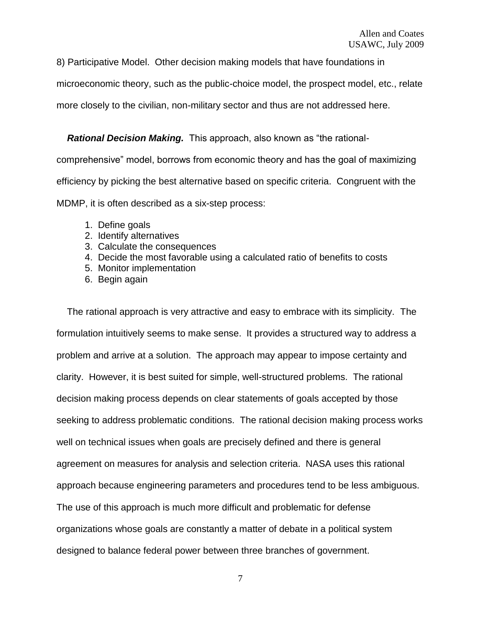8) Participative Model. Other decision making models that have foundations in

microeconomic theory, such as the public-choice model, the prospect model, etc., relate

more closely to the civilian, non-military sector and thus are not addressed here.

 *Rational Decision Making.* This approach, also known as "the rational-

comprehensive" model, borrows from economic theory and has the goal of maximizing efficiency by picking the best alternative based on specific criteria. Congruent with the MDMP, it is often described as a six-step process:

- 1. Define goals
- 2. Identify alternatives
- 3. Calculate the consequences
- 4. Decide the most favorable using a calculated ratio of benefits to costs
- 5. Monitor implementation
- 6. Begin again

 The rational approach is very attractive and easy to embrace with its simplicity. The formulation intuitively seems to make sense. It provides a structured way to address a problem and arrive at a solution. The approach may appear to impose certainty and clarity. However, it is best suited for simple, well-structured problems. The rational decision making process depends on clear statements of goals accepted by those seeking to address problematic conditions. The rational decision making process works well on technical issues when goals are precisely defined and there is general agreement on measures for analysis and selection criteria. NASA uses this rational approach because engineering parameters and procedures tend to be less ambiguous. The use of this approach is much more difficult and problematic for defense organizations whose goals are constantly a matter of debate in a political system designed to balance federal power between three branches of government.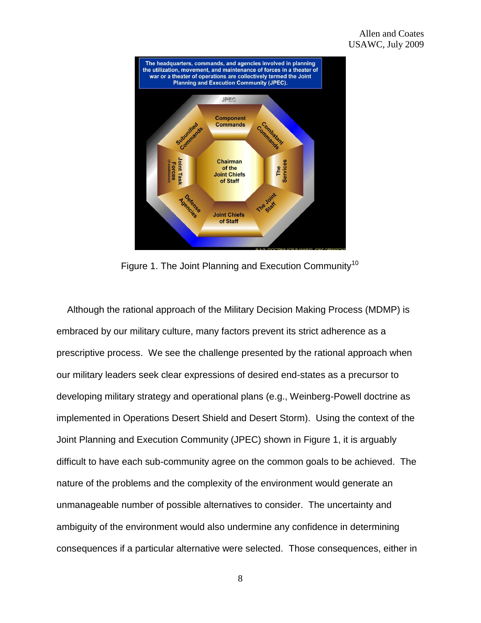

Figure 1. The Joint Planning and Execution Community<sup>10</sup>

 Although the rational approach of the Military Decision Making Process (MDMP) is embraced by our military culture, many factors prevent its strict adherence as a prescriptive process. We see the challenge presented by the rational approach when our military leaders seek clear expressions of desired end-states as a precursor to developing military strategy and operational plans (e.g., Weinberg-Powell doctrine as implemented in Operations Desert Shield and Desert Storm). Using the context of the Joint Planning and Execution Community (JPEC) shown in Figure 1, it is arguably difficult to have each sub-community agree on the common goals to be achieved. The nature of the problems and the complexity of the environment would generate an unmanageable number of possible alternatives to consider. The uncertainty and ambiguity of the environment would also undermine any confidence in determining consequences if a particular alternative were selected. Those consequences, either in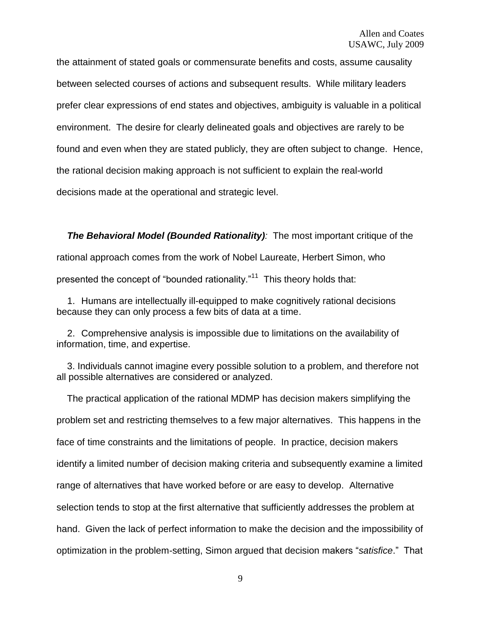the attainment of stated goals or commensurate benefits and costs, assume causality between selected courses of actions and subsequent results. While military leaders prefer clear expressions of end states and objectives, ambiguity is valuable in a political environment. The desire for clearly delineated goals and objectives are rarely to be found and even when they are stated publicly, they are often subject to change. Hence, the rational decision making approach is not sufficient to explain the real-world decisions made at the operational and strategic level.

 *The Behavioral Model (Bounded Rationality):* The most important critique of the rational approach comes from the work of Nobel Laureate, Herbert Simon, who presented the concept of "bounded rationality."<sup>11</sup> This theory holds that:

1. Humans are intellectually ill-equipped to make cognitively rational decisions because they can only process a few bits of data at a time.

2. Comprehensive analysis is impossible due to limitations on the availability of information, time, and expertise.

 3. Individuals cannot imagine every possible solution to a problem, and therefore not all possible alternatives are considered or analyzed.

 The practical application of the rational MDMP has decision makers simplifying the problem set and restricting themselves to a few major alternatives. This happens in the face of time constraints and the limitations of people. In practice, decision makers identify a limited number of decision making criteria and subsequently examine a limited range of alternatives that have worked before or are easy to develop. Alternative selection tends to stop at the first alternative that sufficiently addresses the problem at hand. Given the lack of perfect information to make the decision and the impossibility of optimization in the problem-setting, Simon argued that decision makers "*satisfice*." That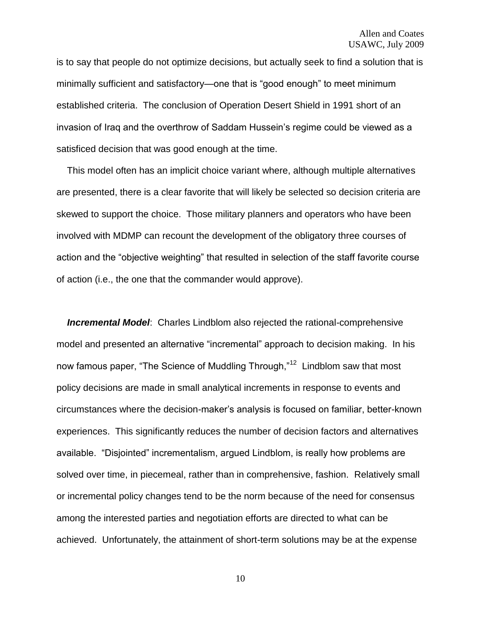is to say that people do not optimize decisions, but actually seek to find a solution that is minimally sufficient and satisfactory—one that is "good enough" to meet minimum established criteria. The conclusion of Operation Desert Shield in 1991 short of an invasion of Iraq and the overthrow of Saddam Hussein"s regime could be viewed as a satisficed decision that was good enough at the time.

 This model often has an implicit choice variant where, although multiple alternatives are presented, there is a clear favorite that will likely be selected so decision criteria are skewed to support the choice. Those military planners and operators who have been involved with MDMP can recount the development of the obligatory three courses of action and the "objective weighting" that resulted in selection of the staff favorite course of action (i.e., the one that the commander would approve).

 *Incremental Model*: Charles Lindblom also rejected the rational-comprehensive model and presented an alternative "incremental" approach to decision making. In his now famous paper, "The Science of Muddling Through,"<sup>12</sup> Lindblom saw that most policy decisions are made in small analytical increments in response to events and circumstances where the decision-maker"s analysis is focused on familiar, better-known experiences. This significantly reduces the number of decision factors and alternatives available. "Disjointed" incrementalism, argued Lindblom, is really how problems are solved over time, in piecemeal, rather than in comprehensive, fashion. Relatively small or incremental policy changes tend to be the norm because of the need for consensus among the interested parties and negotiation efforts are directed to what can be achieved. Unfortunately, the attainment of short-term solutions may be at the expense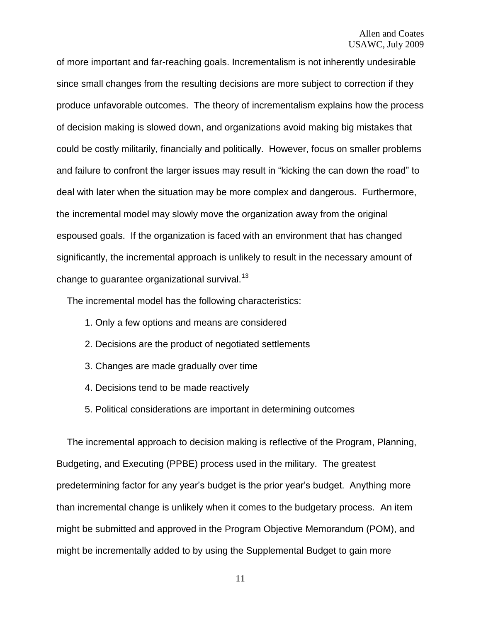of more important and far-reaching goals. Incrementalism is not inherently undesirable since small changes from the resulting decisions are more subject to correction if they produce unfavorable outcomes. The theory of incrementalism explains how the process of decision making is slowed down, and organizations avoid making big mistakes that could be costly militarily, financially and politically. However, focus on smaller problems and failure to confront the larger issues may result in "kicking the can down the road" to deal with later when the situation may be more complex and dangerous. Furthermore, the incremental model may slowly move the organization away from the original espoused goals. If the organization is faced with an environment that has changed significantly, the incremental approach is unlikely to result in the necessary amount of change to quarantee organizational survival. $13$ 

The incremental model has the following characteristics:

- 1. Only a few options and means are considered
- 2. Decisions are the product of negotiated settlements
- 3. Changes are made gradually over time
- 4. Decisions tend to be made reactively
- 5. Political considerations are important in determining outcomes

 The incremental approach to decision making is reflective of the Program, Planning, Budgeting, and Executing (PPBE) process used in the military. The greatest predetermining factor for any year"s budget is the prior year"s budget. Anything more than incremental change is unlikely when it comes to the budgetary process. An item might be submitted and approved in the Program Objective Memorandum (POM), and might be incrementally added to by using the Supplemental Budget to gain more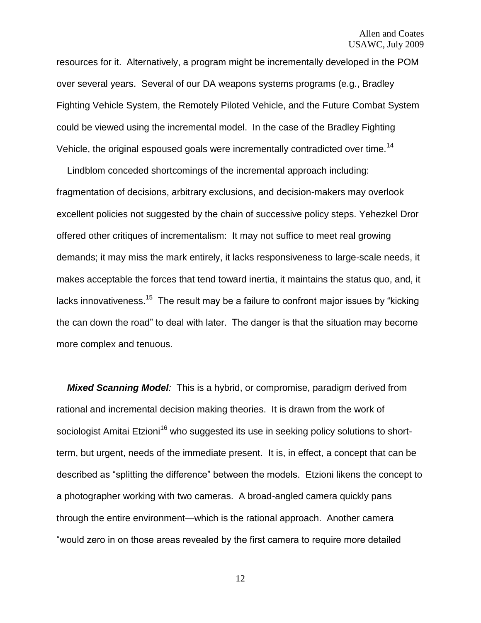resources for it. Alternatively, a program might be incrementally developed in the POM over several years. Several of our DA weapons systems programs (e.g., Bradley Fighting Vehicle System, the Remotely Piloted Vehicle, and the Future Combat System could be viewed using the incremental model. In the case of the Bradley Fighting Vehicle, the original espoused goals were incrementally contradicted over time.<sup>14</sup>

 Lindblom conceded shortcomings of the incremental approach including: fragmentation of decisions, arbitrary exclusions, and decision-makers may overlook excellent policies not suggested by the chain of successive policy steps. Yehezkel Dror offered other critiques of incrementalism: It may not suffice to meet real growing demands; it may miss the mark entirely, it lacks responsiveness to large-scale needs, it makes acceptable the forces that tend toward inertia, it maintains the status quo, and, it lacks innovativeness.<sup>15</sup> The result may be a failure to confront major issues by "kicking the can down the road" to deal with later. The danger is that the situation may become more complex and tenuous.

 *Mixed Scanning Model:* This is a hybrid, or compromise, paradigm derived from rational and incremental decision making theories. It is drawn from the work of sociologist Amitai Etzioni<sup>16</sup> who suggested its use in seeking policy solutions to shortterm, but urgent, needs of the immediate present. It is, in effect, a concept that can be described as "splitting the difference" between the models. Etzioni likens the concept to a photographer working with two cameras. A broad-angled camera quickly pans through the entire environment—which is the rational approach. Another camera "would zero in on those areas revealed by the first camera to require more detailed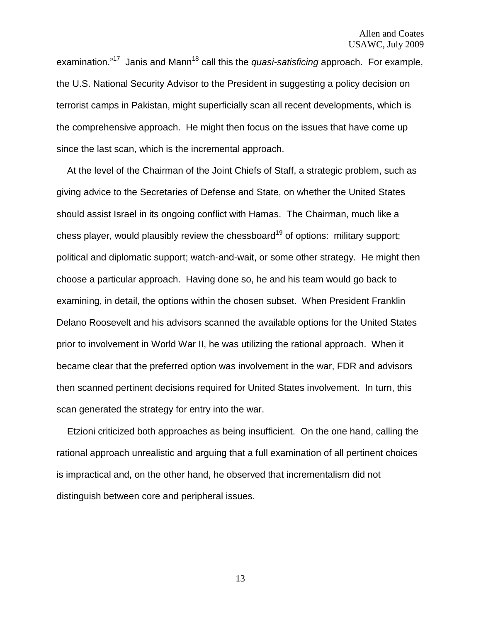examination."<sup>17</sup> Janis and Mann<sup>18</sup> call this the *quasi-satisficing* approach. For example, the U.S. National Security Advisor to the President in suggesting a policy decision on terrorist camps in Pakistan, might superficially scan all recent developments, which is the comprehensive approach. He might then focus on the issues that have come up since the last scan, which is the incremental approach.

 At the level of the Chairman of the Joint Chiefs of Staff, a strategic problem, such as giving advice to the Secretaries of Defense and State, on whether the United States should assist Israel in its ongoing conflict with Hamas. The Chairman, much like a chess player, would plausibly review the chessboard<sup>19</sup> of options: military support; political and diplomatic support; watch-and-wait, or some other strategy. He might then choose a particular approach. Having done so, he and his team would go back to examining, in detail, the options within the chosen subset. When President Franklin Delano Roosevelt and his advisors scanned the available options for the United States prior to involvement in World War II, he was utilizing the rational approach. When it became clear that the preferred option was involvement in the war, FDR and advisors then scanned pertinent decisions required for United States involvement. In turn, this scan generated the strategy for entry into the war.

 Etzioni criticized both approaches as being insufficient. On the one hand, calling the rational approach unrealistic and arguing that a full examination of all pertinent choices is impractical and, on the other hand, he observed that incrementalism did not distinguish between core and peripheral issues.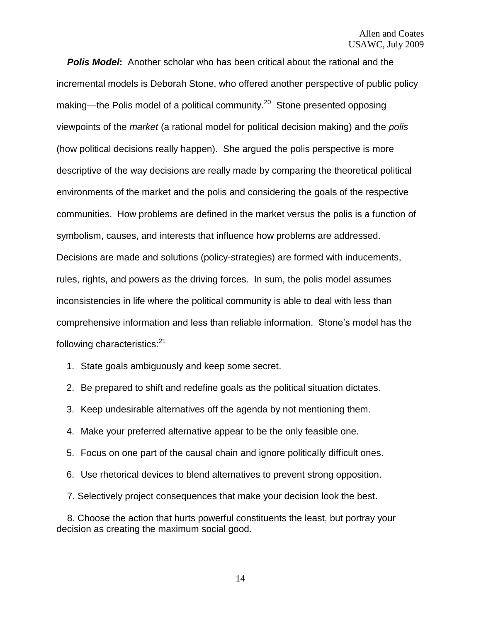*Polis Model***:** Another scholar who has been critical about the rational and the incremental models is Deborah Stone, who offered another perspective of public policy making—the Polis model of a political community.<sup>20</sup> Stone presented opposing viewpoints of the *market* (a rational model for political decision making) and the *polis*  (how political decisions really happen). She argued the polis perspective is more descriptive of the way decisions are really made by comparing the theoretical political environments of the market and the polis and considering the goals of the respective communities. How problems are defined in the market versus the polis is a function of symbolism, causes, and interests that influence how problems are addressed. Decisions are made and solutions (policy-strategies) are formed with inducements, rules, rights, and powers as the driving forces. In sum, the polis model assumes inconsistencies in life where the political community is able to deal with less than comprehensive information and less than reliable information. Stone"s model has the following characteristics:<sup>21</sup>

- 1. State goals ambiguously and keep some secret.
- 2. Be prepared to shift and redefine goals as the political situation dictates.
- 3. Keep undesirable alternatives off the agenda by not mentioning them.
- 4. Make your preferred alternative appear to be the only feasible one.
- 5. Focus on one part of the causal chain and ignore politically difficult ones.
- 6. Use rhetorical devices to blend alternatives to prevent strong opposition.
- 7. Selectively project consequences that make your decision look the best.

 8. Choose the action that hurts powerful constituents the least, but portray your decision as creating the maximum social good.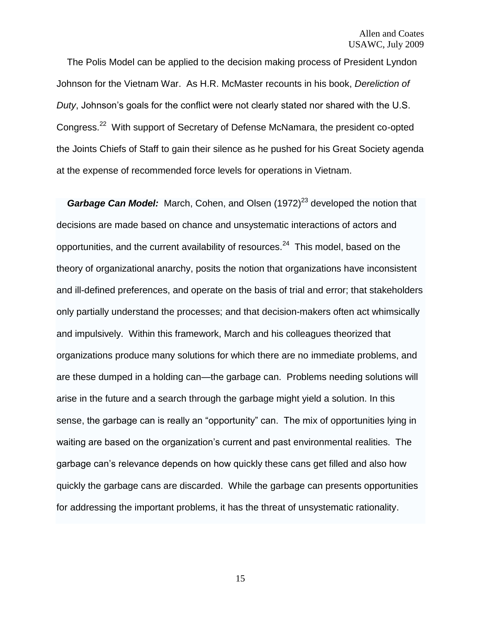The Polis Model can be applied to the decision making process of President Lyndon Johnson for the Vietnam War. As H.R. McMaster recounts in his book, *Dereliction of Duty*, Johnson's goals for the conflict were not clearly stated nor shared with the U.S. Congress.<sup>22</sup> With support of Secretary of Defense McNamara, the president co-opted the Joints Chiefs of Staff to gain their silence as he pushed for his Great Society agenda at the expense of recommended force levels for operations in Vietnam.

*Garbage Can Model:* March, Cohen, and Olsen (1972)<sup>23</sup> developed the notion that decisions are made based on chance and unsystematic interactions of actors and opportunities, and the current availability of resources.<sup>24</sup> This model, based on the theory of organizational anarchy, posits the notion that organizations have inconsistent and ill-defined preferences, and operate on the basis of trial and error; that stakeholders only partially understand the processes; and that decision-makers often act whimsically and impulsively. Within this framework, March and his colleagues theorized that organizations produce many solutions for which there are no immediate problems, and are these dumped in a holding can—the garbage can. Problems needing solutions will arise in the future and a search through the garbage might yield a solution. In this sense, the garbage can is really an "opportunity" can. The mix of opportunities lying in waiting are based on the organization's current and past environmental realities. The garbage can"s relevance depends on how quickly these cans get filled and also how quickly the garbage cans are discarded. While the garbage can presents opportunities for addressing the important problems, it has the threat of unsystematic rationality.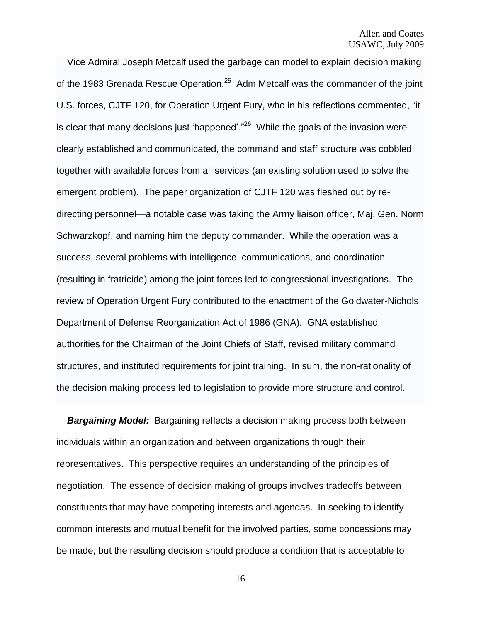Vice Admiral Joseph Metcalf used the garbage can model to explain decision making of the 1983 Grenada Rescue Operation.<sup>25</sup> Adm Metcalf was the commander of the joint U.S. forces, CJTF 120, for Operation Urgent Fury, who in his reflections commented, "it is clear that many decisions just 'happened'."<sup>26</sup> While the goals of the invasion were clearly established and communicated, the command and staff structure was cobbled together with available forces from all services (an existing solution used to solve the emergent problem). The paper organization of CJTF 120 was fleshed out by redirecting personnel—a notable case was taking the Army liaison officer, Maj. Gen. Norm Schwarzkopf, and naming him the deputy commander. While the operation was a success, several problems with intelligence, communications, and coordination (resulting in fratricide) among the joint forces led to congressional investigations. The review of Operation Urgent Fury contributed to the enactment of the Goldwater-Nichols Department of Defense Reorganization Act of 1986 (GNA). GNA established authorities for the Chairman of the Joint Chiefs of Staff, revised military command structures, and instituted requirements for joint training. In sum, the non-rationality of the decision making process led to legislation to provide more structure and control.

**Bargaining Model:** Bargaining reflects a decision making process both between individuals within an organization and between organizations through their representatives. This perspective requires an understanding of the principles of negotiation. The essence of decision making of groups involves tradeoffs between constituents that may have competing interests and agendas. In seeking to identify common interests and mutual benefit for the involved parties, some concessions may be made, but the resulting decision should produce a condition that is acceptable to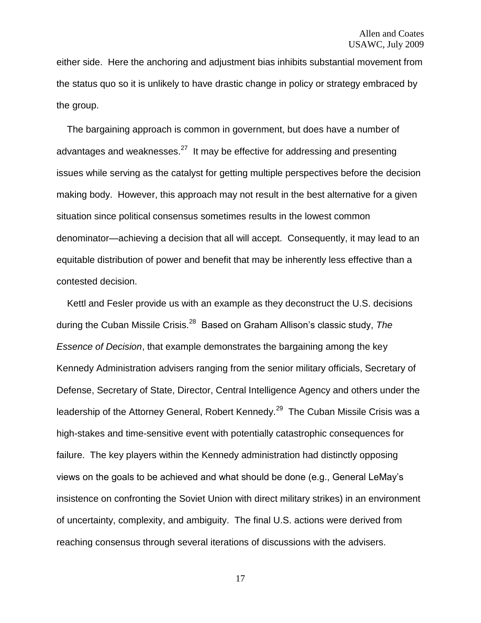either side. Here the anchoring and adjustment bias inhibits substantial movement from the status quo so it is unlikely to have drastic change in policy or strategy embraced by the group.

 The bargaining approach is common in government, but does have a number of advantages and weaknesses. $^{27}$  It may be effective for addressing and presenting issues while serving as the catalyst for getting multiple perspectives before the decision making body. However, this approach may not result in the best alternative for a given situation since political consensus sometimes results in the lowest common denominator—achieving a decision that all will accept. Consequently, it may lead to an equitable distribution of power and benefit that may be inherently less effective than a contested decision.

 Kettl and Fesler provide us with an example as they deconstruct the U.S. decisions during the Cuban Missile Crisis.<sup>28</sup> Based on Graham Allison"s classic study, *The Essence of Decision*, that example demonstrates the bargaining among the key Kennedy Administration advisers ranging from the senior military officials, Secretary of Defense, Secretary of State, Director, Central Intelligence Agency and others under the leadership of the Attorney General, Robert Kennedy.<sup>29</sup> The Cuban Missile Crisis was a high-stakes and time-sensitive event with potentially catastrophic consequences for failure. The key players within the Kennedy administration had distinctly opposing views on the goals to be achieved and what should be done (e.g., General LeMay"s insistence on confronting the Soviet Union with direct military strikes) in an environment of uncertainty, complexity, and ambiguity. The final U.S. actions were derived from reaching consensus through several iterations of discussions with the advisers.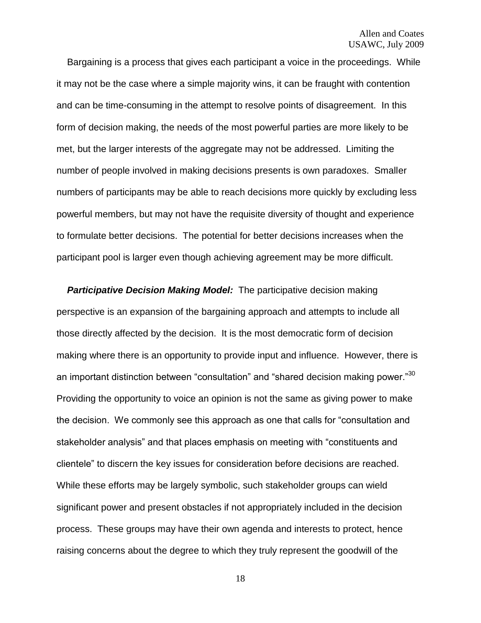Bargaining is a process that gives each participant a voice in the proceedings. While it may not be the case where a simple majority wins, it can be fraught with contention and can be time-consuming in the attempt to resolve points of disagreement. In this form of decision making, the needs of the most powerful parties are more likely to be met, but the larger interests of the aggregate may not be addressed. Limiting the number of people involved in making decisions presents is own paradoxes. Smaller numbers of participants may be able to reach decisions more quickly by excluding less powerful members, but may not have the requisite diversity of thought and experience to formulate better decisions. The potential for better decisions increases when the participant pool is larger even though achieving agreement may be more difficult.

 *Participative Decision Making Model:* The participative decision making perspective is an expansion of the bargaining approach and attempts to include all those directly affected by the decision. It is the most democratic form of decision making where there is an opportunity to provide input and influence. However, there is an important distinction between "consultation" and "shared decision making power." $^{30}$ Providing the opportunity to voice an opinion is not the same as giving power to make the decision. We commonly see this approach as one that calls for "consultation and stakeholder analysis" and that places emphasis on meeting with "constituents and clientele" to discern the key issues for consideration before decisions are reached. While these efforts may be largely symbolic, such stakeholder groups can wield significant power and present obstacles if not appropriately included in the decision process. These groups may have their own agenda and interests to protect, hence raising concerns about the degree to which they truly represent the goodwill of the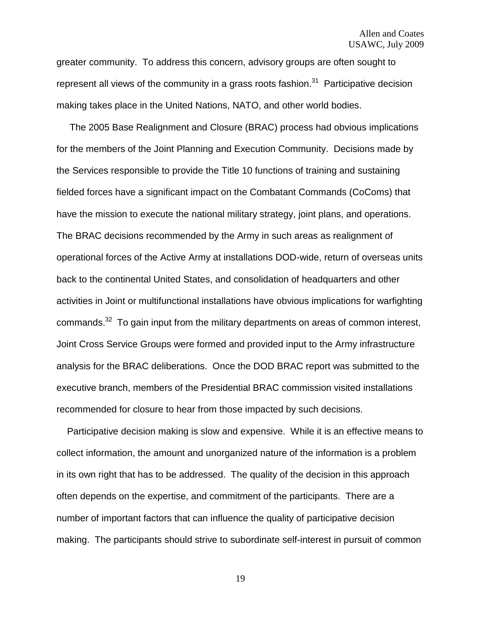greater community. To address this concern, advisory groups are often sought to represent all views of the community in a grass roots fashion.<sup>31</sup> Participative decision making takes place in the United Nations, NATO, and other world bodies.

 The 2005 Base Realignment and Closure (BRAC) process had obvious implications for the members of the Joint Planning and Execution Community. Decisions made by the Services responsible to provide the Title 10 functions of training and sustaining fielded forces have a significant impact on the Combatant Commands (CoComs) that have the mission to execute the national military strategy, joint plans, and operations. The BRAC decisions recommended by the Army in such areas as realignment of operational forces of the Active Army at installations DOD-wide, return of overseas units back to the continental United States, and consolidation of headquarters and other activities in Joint or multifunctional installations have obvious implications for warfighting commands. $32$  To gain input from the military departments on areas of common interest, Joint Cross Service Groups were formed and provided input to the Army infrastructure analysis for the BRAC deliberations. Once the DOD BRAC report was submitted to the executive branch, members of the Presidential BRAC commission visited installations recommended for closure to hear from those impacted by such decisions.

 Participative decision making is slow and expensive. While it is an effective means to collect information, the amount and unorganized nature of the information is a problem in its own right that has to be addressed. The quality of the decision in this approach often depends on the expertise, and commitment of the participants. There are a number of important factors that can influence the quality of participative decision making. The participants should strive to subordinate self-interest in pursuit of common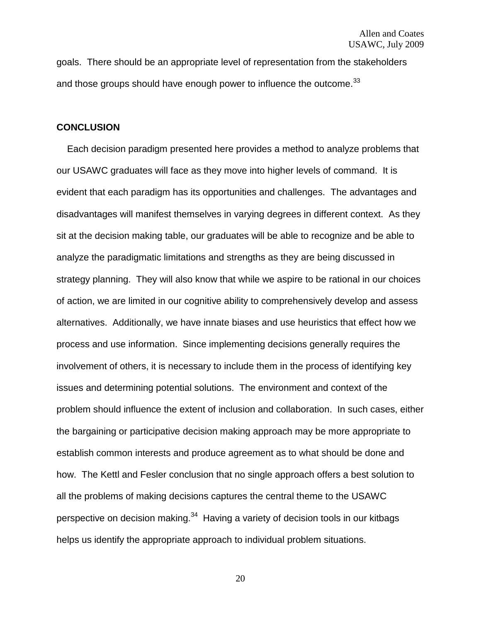goals. There should be an appropriate level of representation from the stakeholders and those groups should have enough power to influence the outcome.<sup>33</sup>

#### **CONCLUSION**

 Each decision paradigm presented here provides a method to analyze problems that our USAWC graduates will face as they move into higher levels of command. It is evident that each paradigm has its opportunities and challenges. The advantages and disadvantages will manifest themselves in varying degrees in different context. As they sit at the decision making table, our graduates will be able to recognize and be able to analyze the paradigmatic limitations and strengths as they are being discussed in strategy planning. They will also know that while we aspire to be rational in our choices of action, we are limited in our cognitive ability to comprehensively develop and assess alternatives. Additionally, we have innate biases and use heuristics that effect how we process and use information. Since implementing decisions generally requires the involvement of others, it is necessary to include them in the process of identifying key issues and determining potential solutions. The environment and context of the problem should influence the extent of inclusion and collaboration. In such cases, either the bargaining or participative decision making approach may be more appropriate to establish common interests and produce agreement as to what should be done and how. The Kettl and Fesler conclusion that no single approach offers a best solution to all the problems of making decisions captures the central theme to the USAWC perspective on decision making.<sup>34</sup> Having a variety of decision tools in our kitbags helps us identify the appropriate approach to individual problem situations.